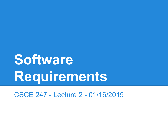# **Software Requirements**

CSCE 247 - Lecture 2 - 01/16/2019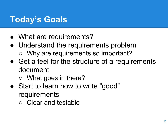# **Today's Goals**

- What are requirements?
- Understand the requirements problem
	- Why are requirements so important?
- Get a feel for the structure of a requirements document
	- What goes in there?
- Start to learn how to write "good" requirements
	- Clear and testable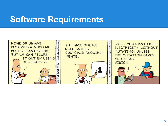### **Software Requirements**

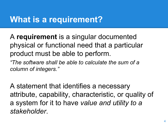## **What is a requirement?**

A **requirement** is a singular documented physical or functional need that a particular product must be able to perform.

*"The software shall be able to calculate the sum of a column of integers."*

A statement that identifies a necessary attribute, capability, characteristic, or quality of a system for it to have *value and utility to a stakeholder*.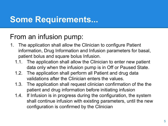## **Some Requirements...**

#### From an infusion pump:

- 1. The application shall allow the Clinician to configure Patient information, Drug Information and Infusion parameters for basal, patient bolus and square bolus Infusion.
	- 1.1. The application shall allow the Clinician to enter new patient data only when the infusion pump is in Off or Paused State.
	- 1.2. The application shall perform all Patient and drug data validations after the Clinician enters the values.
	- 1.3. The application shall request clinician confirmation of the the patient and drug information before initiating infusion
	- 1.4. If Infusion is in progress during the configuration, the system shall continue infusion with existing parameters, until the new configuration is confirmed by the Clinician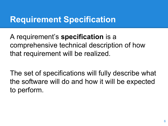# **Requirement Specification**

A requirement's **specification** is a comprehensive technical description of how that requirement will be realized.

The set of specifications will fully describe what the software will do and how it will be expected to perform.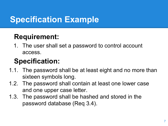# **Specification Example**

#### **Requirement:**

1. The user shall set a password to control account access.

## **Specification:**

- 1.1. The password shall be at least eight and no more than sixteen symbols long.
- 1.2. The password shall contain at least one lower case and one upper case letter.
- 1.3. The password shall be hashed and stored in the password database (Req 3.4).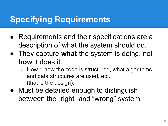# **Specifying Requirements**

- Requirements and their specifications are a description of what the system should do.
- They capture **what** the system is doing, not **how** it does it.
	- $\circ$  How = how the code is structured, what algorithms and data structures are used, etc.
	- $($ that is the design $).$
- Must be detailed enough to distinguish between the "right" and "wrong" system.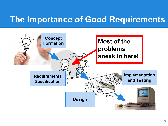## **The Importance of Good Requirements**

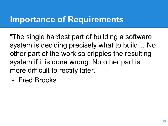# **Importance of Requirements**

"The single hardest part of building a software system is deciding precisely what to build… No other part of the work so cripples the resulting system if it is done wrong. No other part is more difficult to rectify later."

- Fred Brooks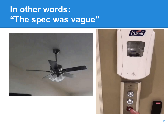# **In other words: "The spec was vague"**

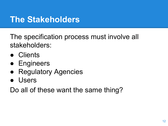## **The Stakeholders**

The specification process must involve all stakeholders:

- Clients
- **•** Engineers
- **Regulatory Agencies**
- Users

Do all of these want the same thing?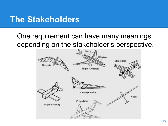### **The Stakeholders**

#### One requirement can have many meanings depending on the stakeholder's perspective.

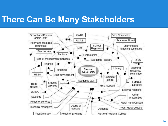## **There Can Be Many Stakeholders**

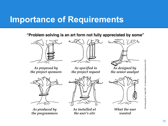## **Importance of Requirements**

"Problem solving is an art form not fully appreciated by some"



As proposed by the project sponsors



As produced by the programmers



As specified in the project request



As installed at the user's site



As designed by the senior analyst



What the user wanted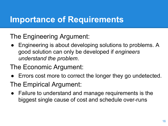# **Importance of Requirements**

#### The Engineering Argument:

Engineering is about developing solutions to problems. A good solution can only be developed if *engineers understand the problem*.

#### The Economic Argument:

- Errors cost more to correct the longer they go undetected. The Empirical Argument:
- Failure to understand and manage requirements is the biggest single cause of cost and schedule over-runs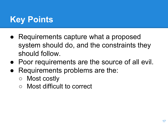# **Key Points**

- Requirements capture what a proposed system should do, and the constraints they should follow.
- Poor requirements are the source of all evil.
- Requirements problems are the:
	- Most costly
	- Most difficult to correct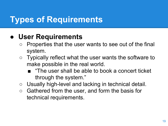#### **● User Requirements**

- Properties that the user wants to see out of the final system.
- Typically reflect what the user wants the software to make possible in the real world.
	- "The user shall be able to book a concert ticket through the system."
- Usually high-level and lacking in technical detail.
- $\circ$  Gathered from the user, and form the basis for technical requirements.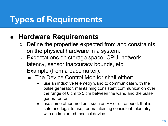#### **● Hardware Requirements**

- Define the properties expected from and constraints on the physical hardware in a system.
- Expectations on storage space, CPU, network latency, sensor inaccuracy bounds, etc.
- Example (from a pacemaker):
	- The Device Control Monitor shall either:
		- use an inductive telemetry wand to communicate with the pulse generator, maintaining consistent communication over the range of 0 cm to 5 cm between the wand and the pulse generator; or,
		- use some other medium, such as RF or ultrasound, that is safe and legal to use, for maintaining consistent telemetry with an implanted medical device.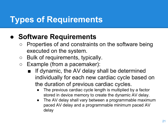#### **● Software Requirements**

- Properties of and constraints on the software being executed on the system.
- Bulk of requirements, typically.
- Example (from a pacemaker):
	- If dynamic, the AV delay shall be determined individually for each new cardiac cycle based on the duration of previous cardiac cycles.
		- The previous cardiac cycle length is multiplied by a factor stored in device memory to create the dynamic AV delay.
		- The AV delay shall vary between a programmable maximum paced AV delay and a programmable minimum paced AV delay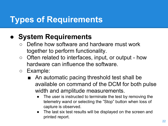#### **● System Requirements**

- Define how software and hardware must work together to perform functionality.
- Often related to interfaces, input, or output how hardware can influence the software.
- Example:
	- An automatic pacing threshold test shall be available on command of the DCM for both pulse width and amplitude measurements.
		- The user is instructed to terminate the test by removing the telemetry wand or selecting the "Stop" button when loss of capture is observed.
		- The last six test results will be displayed on the screen and printed report.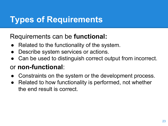#### Requirements can be **functional:**

- Related to the functionality of the system.
- Describe system services or actions.
- Can be used to distinguish correct output from incorrect.

#### or **non-functional**:

- Constraints on the system or the development process.
- Related to how functionality is performed, not whether the end result is correct.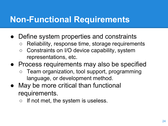# **Non-Functional Requirements**

- Define system properties and constraints
	- Reliability, response time, storage requirements
	- Constraints on I/O device capability, system representations, etc.
- Process requirements may also be specified
	- Team organization, tool support, programming language, or development method.
- May be more critical than functional requirements.
	- If not met, the system is useless.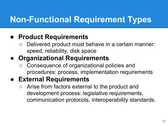# **Non-Functional Requirement Types**

#### **● Product Requirements**

Delivered product must behave in a certain manner: speed, reliability, disk space

#### **● Organizational Requirements**

○ Consequence of organizational policies and procedures: process, implementation requirements

#### **● External Requirements**

○ Arise from factors external to the product and development process: legislative requirements, communication protocols, interoperability standards.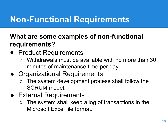# **Non-Functional Requirements**

#### **What are some examples of non-functional requirements?**

- Product Requirements
	- Withdrawals must be available with no more than 30 minutes of maintenance time per day.
- Organizational Requirements
	- The system development process shall follow the SCRUM model.
- **External Requirements** 
	- $\circ$  The system shall keep a log of transactions in the Microsoft Excel file format.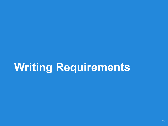# **Writing Requirements**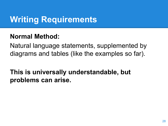# **Writing Requirements**

#### **Normal Method:**

Natural language statements, supplemented by diagrams and tables (like the examples so far).

**This is universally understandable, but problems can arise.**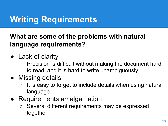# **Writing Requirements**

#### **What are some of the problems with natural language requirements?**

- Lack of clarity
	- Precision is difficult without making the document hard to read, and it is hard to write unambiguously.
- Missing details
	- It is easy to forget to include details when using natural language.
- Requirements amalgamation
	- Several different requirements may be expressed together.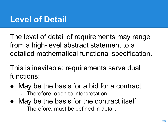## **Level of Detail**

The level of detail of requirements may range from a high-level abstract statement to a detailed mathematical functional specification.

This is inevitable: requirements serve dual functions:

- May be the basis for a bid for a contract ○ Therefore, open to interpretation.
- May be the basis for the contract itself ○ Therefore, must be defined in detail.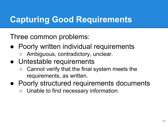# **Capturing Good Requirements**

Three common problems:

- Poorly written individual requirements
	- Ambiguous, contradictory, unclear.
- Untestable requirements
	- Cannot verify that the final system meets the requirements, as written.
- Poorly structured requirements documents Unable to find necessary information.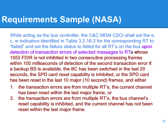## **Requirements Sample (NASA)**

While acting as the bus controller, the C&C MDM CSCI shall set the e, c, w indicators identified in Table 3.2.16-2 for the corresponding RT to "failed" and set the failure status to failed for all RT's on the bus upon detection of transaction errors of selected messages to RTs whose 1553 FDIR is not inhibited in two consecutive processing frames within 100 milliseconds of detection of the second transaction error if: a backup BS is available, the BC has been switched in the last 20 seconds, the SPD card reset capability is inhibited, or the SPD card has been reset in the last 10 major (10 second) frames, and either

- 1. the transaction errors are from multiple RT's, the current channel has been reset within the last major frame, or
- 2. the transaction errors are from multiple RT's, the bus channel's reset capability is inhibited, and the current channel has not been reset within the last major frame.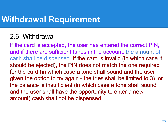## **Withdrawal Requirement**

#### 2.6: Withdrawal

If the card is accepted, the user has entered the correct PIN, and if there are sufficient funds in the account, the amount of cash shall be dispensed. If the card is invalid (in which case it should be ejected), the PIN does not match the one required for the card (in which case a tone shall sound and the user given the option to try again - the tries shall be limited to 3), or the balance is insufficient (in which case a tone shall sound and the user shall have the opportunity to enter a new amount) cash shall not be dispensed.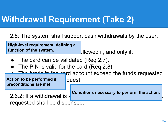# **Withdrawal Requirement (Take 2)**

2.6: The system shall support cash withdrawals by the user.

**High-level requirement, defining a function of the system.**

allowed if, and only if:

- The card can be validated (Req 2.7).
- The PIN is valid for the card (Req 2.8).

The funds in the eqrd account exceed the funds requested Action to be performed if **propert** papers **a preconditions are met.**

**Conditions necessary to perform the action.**

2.6.2: If a withdrawal is  $\epsilon$ requested shall be dispensed.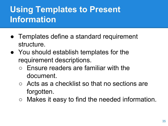# **Using Templates to Present Information**

- Templates define a standard requirement structure.
- You should establish templates for the requirement descriptions.
	- Ensure readers are familiar with the document.
	- Acts as a checklist so that no sections are forgotten.
	- Makes it easy to find the needed information.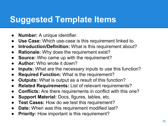# **Suggested Template Items**

- **Number:** A unique identifier.
- **Use Case:** Which use-case is this requirement linked to.
- **Introduction/Definition:** What is this requirement about?
- **Rationale:** Why does the requirement exist?
- **Source:** Who came up with the requirement?
- **Author:** Who wrote it down?
- **Inputs:** What are the necessary inputs to use this function?
- **Required Function: What is the requirement?**
- **Outputs:** What is output as a result of this function?
- **Related Requirements:** List of relevant requirements?
- **Conflicts:** Are there requirements in conflict with this one?
- **Support Material: Docs, figures, tables, etc.**
- **Test Cases:** How do we test this requirement?
- **Date:** When was this requirement modified last?
- **Priority:** How important is this requirement?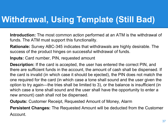# **Withdrawal, Using Template (Still Bad)**

**Introduction:** The most common action performed at an ATM is the withdrawal of funds. The ATM must support this functionality.

**Rationale:** Survey ABC-345 indicates that withdrawals are highly desirable. The success of the product hinges on successful withdrawal of funds.

**Inputs:** Card number, PIN, requested amount

**Description:** If the card is accepted, the user has entered the correct PIN, and there are sufficient funds in the account, the amount of cash shall be dispensed. If the card is invalid (in which case it should be ejected), the PIN does not match the one required for the card (in which case a tone shall sound and the user given the option to try again—the tries shall be limited to 3), or the balance is insufficient (in which case a tone shall sound and the user shall have the opportunity to enter a new amount) cash shall not be dispensed.

**Outputs:** Customer Receipt, Requested Amount of Money, Alarm

**Persistent Changes:** The Requested Amount will be deducted from the Customer

Account.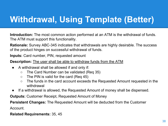# **Withdrawal, Using Template (Better)**

**Introduction:** The most common action performed at an ATM is the withdrawal of funds. The ATM must support this functionality.

**Rationale:** Survey ABC-345 indicates that withdrawals are highly desirable. The success of the product hinges on successful withdrawal of funds.

**Inputs:** Card number, PIN, requested amount

**Description:** The user shall be able to withdraw funds from the ATM

- A withdrawal shall be allowed if and only if:
	- The Card Number can be validated (Req 35)
	- $\circ$  The PIN is valid for the card (Req 45)
	- The funds in the card account exceeds the Requested Amount requested in the withdrawal
- If a withdrawal is allowed, the Requested Amount of money shall be dispensed.

**Outputs:** Customer Receipt, Requested Amount of Money

**Persistent Changes:** The Requested Amount will be deducted from the Customer Account.

**Related Requirements:** 35, 45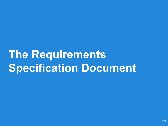# **The Requirements Specification Document**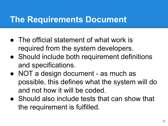## **The Requirements Document**

- The official statement of what work is required from the system developers.
- Should include both requirement definitions and specifications.
- NOT a design document as much as possible, this defines what the system will do and not how it will be coded.
- Should also include tests that can show that the requirement is fulfilled.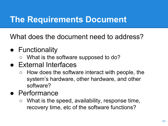## **The Requirements Document**

What does the document need to address?

- Functionality
	- What is the software supposed to do?
- External Interfaces
	- $\circ$  How does the software interact with people, the system's hardware, other hardware, and other software?
- Performance
	- What is the speed, availability, response time, recovery time, etc of the software functions?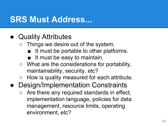## **SRS Must Address...**

- Quality Attributes
	- Things we desire out of the system.
		- It must be portable to other platforms.
		- It must be easy to maintain.
	- What are the considerations for portability, maintainability, security, etc?
	- How is quality measured for each attribute.
- Design/Implementation Constraints
	- $\circ$  Are there any required standards in effect, implementation language, policies for data management, resource limits, operating environment, etc?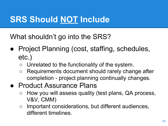# **SRS Should NOT Include**

What shouldn't go into the SRS?

- Project Planning (cost, staffing, schedules, etc.)
	- Unrelated to the functionality of the system.
	- Requirements document should rarely change after completion - project planning continually changes.
- Product Assurance Plans
	- How you will assess quality (test plans, QA process, V&V, CMM)
	- Important considerations, but different audiences, different timelines.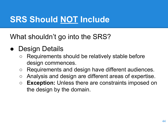# **SRS Should NOT Include**

What shouldn't go into the SRS?

- **Design Details** 
	- Requirements should be relatively stable before design commences.
	- Requirements and design have different audiences.
	- Analysis and design are different areas of expertise.
	- **Exception:** Unless there are constraints imposed on the design by the domain.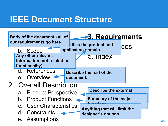## **IEEE Document Structure**

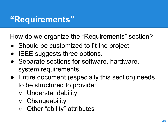# **"Requirements"**

How do we organize the "Requirements" section?

- Should be customized to fit the project.
- **IEEE suggests three options.**
- Separate sections for software, hardware, system requirements.
- Entire document (especially this section) needs to be structured to provide:
	- Understandability
	- Changeability
	- Other "ability" attributes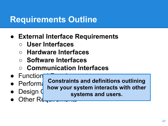# **Requirements Outline**

- **● External Interface Requirements**
	- **○ User Interfaces**
	- **○ Hardware Interfaces**
	- **○ Software Interfaces**
	- **○ Communication Interfaces**
- $\bullet$  Function
- $\bullet$  Perform:
- Design (

**Constraints and definitions outlining how your system interacts with other systems and users.**

Other Re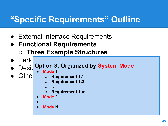# **"Specific Requirements" Outline**

- External Interface Requirements
- **● Functional Requirements**
	- **○ Three Example Structures**
- $\bullet$  Perfd

# **e** Desit Option 3: Organized by System Mode

- **• Mode 1**
- 
- Othe **o** Requirement 1.1
	- **○ Requirement 1.2**
	- **○ …**
	- **○ Requirement 1.m**
	- **• Mode 2**
	- **● ….**
	- **● User Class N Feature N Mode N**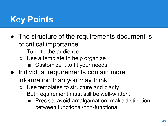# **Key Points**

- The structure of the requirements document is of critical importance.
	- Tune to the audience.
	- Use a template to help organize.
		- Customize it to fit your needs
- Individual requirements contain more information than you may think.
	- Use templates to structure and clarify.
	- But, requirement must still be well-written.
		- Precise, avoid amalgamation, make distinction between functional/non-functional